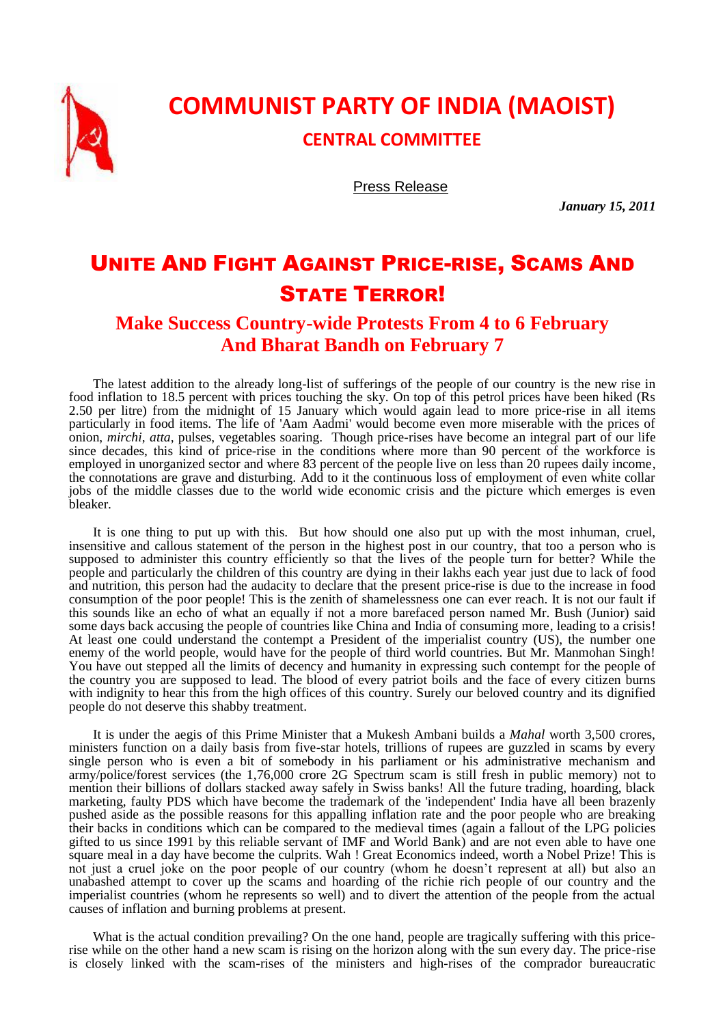

## **COMMUNIST PARTY OF INDIA (MAOIST)**

**CENTRAL COMMITTEE**

Press Release

*January 15, 2011*

## UNITE AND FIGHT AGAINST PRICE-RISE, SCAMS AND STATE TERROR!

## **Make Success Country-wide Protests From 4 to 6 February And Bharat Bandh on February 7**

The latest addition to the already long-list of sufferings of the people of our country is the new rise in food inflation to 18.5 percent with prices touching the sky. On top of this petrol prices have been hiked (Rs 2.50 per litre) from the midnight of 15 January which would again lead to more price-rise in all items particularly in food items. The life of 'Aam Aadmi' would become even more miserable with the prices of onion, *mirchi*, *atta*, pulses, vegetables soaring. Though price-rises have become an integral part of our life since decades, this kind of price-rise in the conditions where more than 90 percent of the workforce is employed in unorganized sector and where 83 percent of the people live on less than 20 rupees daily income, the connotations are grave and disturbing. Add to it the continuous loss of employment of even white collar jobs of the middle classes due to the world wide economic crisis and the picture which emerges is even bleaker.

It is one thing to put up with this. But how should one also put up with the most inhuman, cruel, insensitive and callous statement of the person in the highest post in our country, that too a person who is supposed to administer this country efficiently so that the lives of the people turn for better? While the people and particularly the children of this country are dying in their lakhs each year just due to lack of food and nutrition, this person had the audacity to declare that the present price-rise is due to the increase in food consumption of the poor people! This is the zenith of shamelessness one can ever reach. It is not our fault if this sounds like an echo of what an equally if not a more barefaced person named Mr. Bush (Junior) said some days back accusing the people of countries like China and India of consuming more, leading to a crisis! At least one could understand the contempt a President of the imperialist country (US), the number one enemy of the world people, would have for the people of third world countries. But Mr. Manmohan Singh! You have out stepped all the limits of decency and humanity in expressing such contempt for the people of the country you are supposed to lead. The blood of every patriot boils and the face of every citizen burns with indignity to hear this from the high offices of this country. Surely our beloved country and its dignified people do not deserve this shabby treatment.

It is under the aegis of this Prime Minister that a Mukesh Ambani builds a *Mahal* worth 3,500 crores, ministers function on a daily basis from five-star hotels, trillions of rupees are guzzled in scams by every single person who is even a bit of somebody in his parliament or his administrative mechanism and army/police/forest services (the 1,76,000 crore 2G Spectrum scam is still fresh in public memory) not to mention their billions of dollars stacked away safely in Swiss banks! All the future trading, hoarding, black marketing, faulty PDS which have become the trademark of the 'independent' India have all been brazenly pushed aside as the possible reasons for this appalling inflation rate and the poor people who are breaking their backs in conditions which can be compared to the medieval times (again a fallout of the LPG policies gifted to us since 1991 by this reliable servant of IMF and World Bank) and are not even able to have one square meal in a day have become the culprits. Wah ! Great Economics indeed, worth a Nobel Prize! This is not just a cruel joke on the poor people of our country (whom he doesn't represent at all) but also an unabashed attempt to cover up the scams and hoarding of the richie rich people of our country and the imperialist countries (whom he represents so well) and to divert the attention of the people from the actual causes of inflation and burning problems at present.

What is the actual condition prevailing? On the one hand, people are tragically suffering with this pricerise while on the other hand a new scam is rising on the horizon along with the sun every day. The price-rise is closely linked with the scam-rises of the ministers and high-rises of the comprador bureaucratic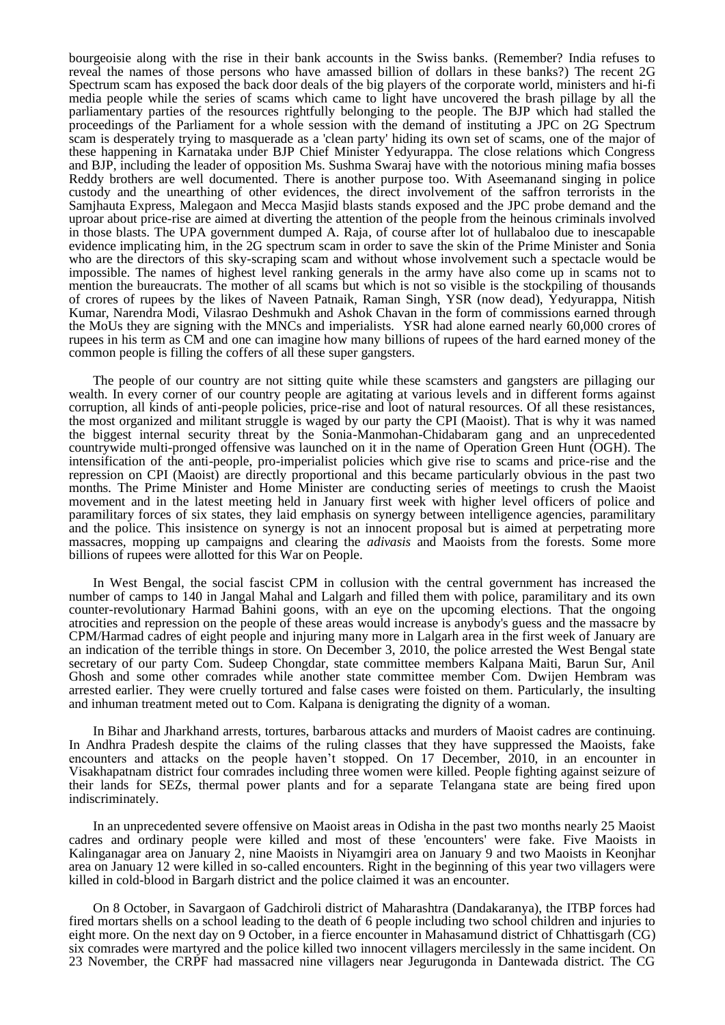bourgeoisie along with the rise in their bank accounts in the Swiss banks. (Remember? India refuses to reveal the names of those persons who have amassed billion of dollars in these banks?) The recent 2G Spectrum scam has exposed the back door deals of the big players of the corporate world, ministers and hi-fi media people while the series of scams which came to light have uncovered the brash pillage by all the parliamentary parties of the resources rightfully belonging to the people. The BJP which had stalled the proceedings of the Parliament for a whole session with the demand of instituting a JPC on 2G Spectrum scam is desperately trying to masquerade as a 'clean party' hiding its own set of scams, one of the major of these happening in Karnataka under BJP Chief Minister Yedyurappa. The close relations which Congress and BJP, including the leader of opposition Ms. Sushma Swaraj have with the notorious mining mafia bosses Reddy brothers are well documented. There is another purpose too. With Aseemanand singing in police custody and the unearthing of other evidences, the direct involvement of the saffron terrorists in the Samjhauta Express, Malegaon and Mecca Masjid blasts stands exposed and the JPC probe demand and the uproar about price-rise are aimed at diverting the attention of the people from the heinous criminals involved in those blasts. The UPA government dumped A. Raja, of course after lot of hullabaloo due to inescapable evidence implicating him, in the 2G spectrum scam in order to save the skin of the Prime Minister and Sonia who are the directors of this sky-scraping scam and without whose involvement such a spectacle would be impossible. The names of highest level ranking generals in the army have also come up in scams not to mention the bureaucrats. The mother of all scams but which is not so visible is the stockpiling of thousands of crores of rupees by the likes of Naveen Patnaik, Raman Singh, YSR (now dead), Yedyurappa, Nitish Kumar, Narendra Modi, Vilasrao Deshmukh and Ashok Chavan in the form of commissions earned through the MoUs they are signing with the MNCs and imperialists. YSR had alone earned nearly 60,000 crores of rupees in his term as CM and one can imagine how many billions of rupees of the hard earned money of the common people is filling the coffers of all these super gangsters.

The people of our country are not sitting quite while these scamsters and gangsters are pillaging our wealth. In every corner of our country people are agitating at various levels and in different forms against corruption, all kinds of anti-people policies, price-rise and loot of natural resources. Of all these resistances, the most organized and militant struggle is waged by our party the CPI (Maoist). That is why it was named the biggest internal security threat by the Sonia-Manmohan-Chidabaram gang and an unprecedented countrywide multi-pronged offensive was launched on it in the name of Operation Green Hunt (OGH). The intensification of the anti-people, pro-imperialist policies which give rise to scams and price-rise and the repression on CPI (Maoist) are directly proportional and this became particularly obvious in the past two months. The Prime Minister and Home Minister are conducting series of meetings to crush the Maoist movement and in the latest meeting held in January first week with higher level officers of police and paramilitary forces of six states, they laid emphasis on synergy between intelligence agencies, paramilitary and the police. This insistence on synergy is not an innocent proposal but is aimed at perpetrating more massacres, mopping up campaigns and clearing the *adivasis* and Maoists from the forests. Some more billions of rupees were allotted for this War on People.

In West Bengal, the social fascist CPM in collusion with the central government has increased the number of camps to 140 in Jangal Mahal and Lalgarh and filled them with police, paramilitary and its own counter-revolutionary Harmad Bahini goons, with an eye on the upcoming elections. That the ongoing atrocities and repression on the people of these areas would increase is anybody's guess and the massacre by CPM/Harmad cadres of eight people and injuring many more in Lalgarh area in the first week of January are an indication of the terrible things in store. On December 3, 2010, the police arrested the West Bengal state secretary of our party Com. Sudeep Chongdar, state committee members Kalpana Maiti, Barun Sur, Anil Ghosh and some other comrades while another state committee member Com. Dwijen Hembram was arrested earlier. They were cruelly tortured and false cases were foisted on them. Particularly, the insulting and inhuman treatment meted out to Com. Kalpana is denigrating the dignity of a woman.

In Bihar and Jharkhand arrests, tortures, barbarous attacks and murders of Maoist cadres are continuing. In Andhra Pradesh despite the claims of the ruling classes that they have suppressed the Maoists, fake encounters and attacks on the people haven't stopped. On 17 December, 2010, in an encounter in Visakhapatnam district four comrades including three women were killed. People fighting against seizure of their lands for SEZs, thermal power plants and for a separate Telangana state are being fired upon indiscriminately.

In an unprecedented severe offensive on Maoist areas in Odisha in the past two months nearly 25 Maoist cadres and ordinary people were killed and most of these 'encounters' were fake. Five Maoists in Kalinganagar area on January 2, nine Maoists in Niyamgiri area on January 9 and two Maoists in Keonjhar area on January 12 were killed in so-called encounters. Right in the beginning of this year two villagers were killed in cold-blood in Bargarh district and the police claimed it was an encounter.

On 8 October, in Savargaon of Gadchiroli district of Maharashtra (Dandakaranya), the ITBP forces had fired mortars shells on a school leading to the death of 6 people including two school children and injuries to eight more. On the next day on 9 October, in a fierce encounter in Mahasamund district of Chhattisgarh (CG) six comrades were martyred and the police killed two innocent villagers mercilessly in the same incident. On 23 November, the CRPF had massacred nine villagers near Jegurugonda in Dantewada district. The CG